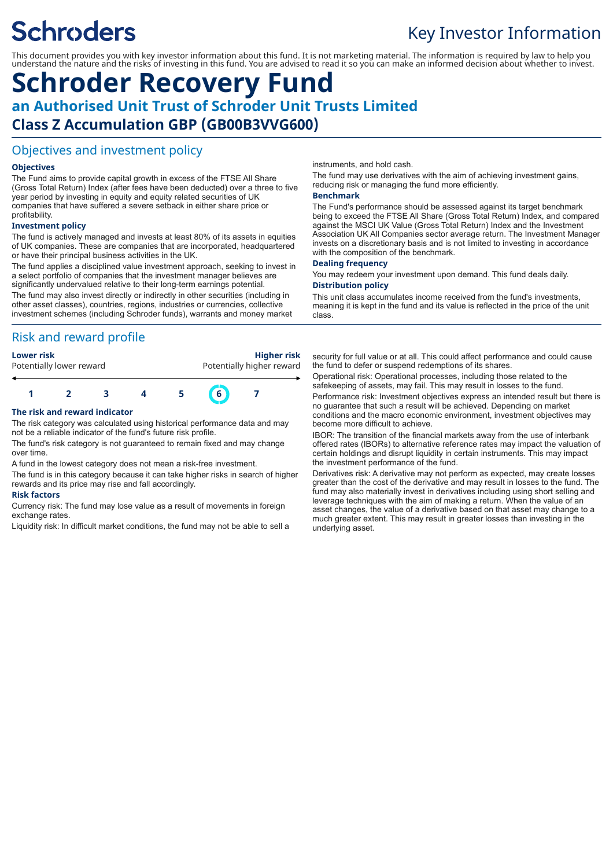# **Schroders**

# Key Investor Information

This document provides you with key investor information about this fund. It is not marketing material. The information is required by law to help you understand the nature and the risks of investing in this fund. You are advised to read it so you can make an informed decision about whether to invest.

# **Schroder Recovery Fund an Authorised Unit Trust of Schroder Unit Trusts Limited Class Z Accumulation GBP (GB00B3VVG600)**

# Objectives and investment policy

### **Objectives**

The Fund aims to provide capital growth in excess of the FTSE All Share (Gross Total Return) Index (after fees have been deducted) over a three to five year period by investing in equity and equity related securities of UK companies that have suffered a severe setback in either share price or profitability.

#### **Investment policy**

The fund is actively managed and invests at least 80% of its assets in equities of UK companies. These are companies that are incorporated, headquartered or have their principal business activities in the UK.

The fund applies a disciplined value investment approach, seeking to invest in a select portfolio of companies that the investment manager believes are significantly undervalued relative to their long-term earnings potential.

The fund may also invest directly or indirectly in other securities (including in other asset classes), countries, regions, industries or currencies, collective investment schemes (including Schroder funds), warrants and money market

# Risk and reward profile

#### **Lower risk Higher risk** Potentially higher reward

# **1 2 3 4 5 6 7 The risk and reward indicator**

The risk category was calculated using historical performance data and may not be a reliable indicator of the fund's future risk profile.

The fund's risk category is not guaranteed to remain fixed and may change over time.

A fund in the lowest category does not mean a risk-free investment.

The fund is in this category because it can take higher risks in search of higher rewards and its price may rise and fall accordingly.

#### **Risk factors**

Currency risk: The fund may lose value as a result of movements in foreign exchange rates.

Liquidity risk: In difficult market conditions, the fund may not be able to sell a

instruments, and hold cash.

The fund may use derivatives with the aim of achieving investment gains, reducing risk or managing the fund more efficiently.

#### **Benchmark**

The Fund's performance should be assessed against its target benchmark being to exceed the FTSE All Share (Gross Total Return) Index, and compared against the MSCI UK Value (Gross Total Return) Index and the Investment Association UK All Companies sector average return. The Investment Manager invests on a discretionary basis and is not limited to investing in accordance with the composition of the benchmark.

#### **Dealing frequency**

You may redeem your investment upon demand. This fund deals daily.

#### **Distribution policy**

This unit class accumulates income received from the fund's investments, meaning it is kept in the fund and its value is reflected in the price of the unit class.

security for full value or at all. This could affect performance and could cause the fund to defer or suspend redemptions of its shares.

Operational risk: Operational processes, including those related to the safekeeping of assets, may fail. This may result in losses to the fund. Performance risk: Investment objectives express an intended result but there is no guarantee that such a result will be achieved. Depending on market conditions and the macro economic environment, investment objectives may become more difficult to achieve.

IBOR: The transition of the financial markets away from the use of interbank offered rates (IBORs) to alternative reference rates may impact the valuation of certain holdings and disrupt liquidity in certain instruments. This may impact the investment performance of the fund.

Derivatives risk: A derivative may not perform as expected, may create losses greater than the cost of the derivative and may result in losses to the fund. The fund may also materially invest in derivatives including using short selling and leverage techniques with the aim of making a return. When the value of an asset changes, the value of a derivative based on that asset may change to a much greater extent. This may result in greater losses than investing in the underlying asset.